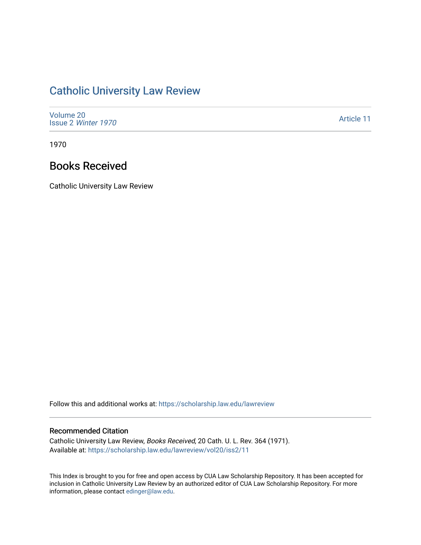## [Catholic University Law Review](https://scholarship.law.edu/lawreview)

| Volume 20<br>Issue 2 Winter 1970 | Article 11 |
|----------------------------------|------------|
|----------------------------------|------------|

1970

## Books Received

Catholic University Law Review

Follow this and additional works at: [https://scholarship.law.edu/lawreview](https://scholarship.law.edu/lawreview?utm_source=scholarship.law.edu%2Flawreview%2Fvol20%2Fiss2%2F11&utm_medium=PDF&utm_campaign=PDFCoverPages)

## Recommended Citation

Catholic University Law Review, Books Received, 20 Cath. U. L. Rev. 364 (1971). Available at: [https://scholarship.law.edu/lawreview/vol20/iss2/11](https://scholarship.law.edu/lawreview/vol20/iss2/11?utm_source=scholarship.law.edu%2Flawreview%2Fvol20%2Fiss2%2F11&utm_medium=PDF&utm_campaign=PDFCoverPages) 

This Index is brought to you for free and open access by CUA Law Scholarship Repository. It has been accepted for inclusion in Catholic University Law Review by an authorized editor of CUA Law Scholarship Repository. For more information, please contact [edinger@law.edu.](mailto:edinger@law.edu)